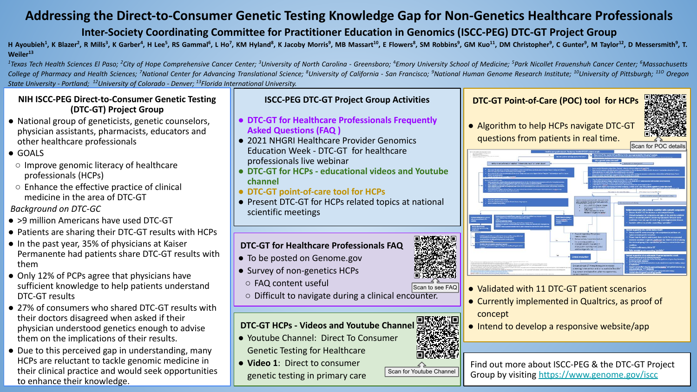# **Addressing the Direct-to-Consumer Genetic Testing Knowledge Gap for Non-Genetics Healthcare Professionals**

## **Inter-Society Coordinating Committee for Practitioner Education in Genomics (ISCC-PEG) DTC-GT Project Group**

H Ayoubieh<sup>1</sup>, K Blazer<sup>2</sup>, R Mills<sup>3</sup>, K Garber<sup>4</sup>, H Lee<sup>5</sup>, RS Gammal<sup>6</sup>, L Ho<sup>7</sup>, KM Hyland<sup>8</sup>, K Jacoby Morris<sup>9</sup>, MB Massart<sup>10</sup>, E Flowers8, SM Robbins<sup>9</sup>, GM Kuo<sup>11</sup>, DM Christopher<sup>9</sup>, C Gunter<sup>9</sup>, M Taylor<sup>12</sup>, D **Weiler<sup>13</sup>**

<sup>1</sup>Texas Tech Health Sciences El Paso; <sup>2</sup>City of Hope Comprehensive Cancer Center; <sup>3</sup>University of North Carolina - Greensboro; <sup>4</sup>Emory University School of Medicine; <sup>5</sup>Park Nicollet Frauenshuh Cancer Center; <sup>6</sup>Massac College of Pharmacy and Health Sciences; <sup>7</sup>National Center for Advancing Translational Science; <sup>8</sup>University of California - San Francisco; <sup>9</sup>National Human Genome Research Institute; <sup>10</sup>University of Pittsburgh; <sup>110</sup> *State University - Portland; 12University of Colorado - Denver; 13Florida International University.*

#### **NIH ISCC-PEG Direct-to-Consumer Genetic Testing (DTC-GT) Project Group**

- National group of geneticists, genetic counselors, physician assistants, pharmacists, educators and other healthcare professionals
- GOALS
- Improve genomic literacy of healthcare professionals (HCPs)
- Enhance the effective practice of clinical medicine in the area of DTC-GT

### *Background on DTC-GC*

- >9 million Americans have used DTC-GT
- Patients are sharing their DTC-GT results with HCPs
- In the past year, 35% of physicians at Kaiser Permanente had patients share DTC-GT results with them
- Only 12% of PCPs agree that physicians have sufficient knowledge to help patients understand DTC-GT results
- 27% of consumers who shared DTC-GT results with their doctors disagreed when asked if their physician understood genetics enough to advise them on the implications of their results.
- Due to this perceived gap in understanding, many HCPs are reluctant to tackle genomic medicine in their clinical practice and would seek opportunities to enhance their knowledge.

### **ISCC-PEG DTC-GT Project Group Activities**

- **● DTC-GT for Healthcare Professionals Frequently Asked Questions (FAQ )**
- 2021 NHGRI Healthcare Provider Genomics Education Week - DTC-GT for healthcare professionals live webinar
- **● DTC-GT for HCPs educational videos and Youtube channel**
- **● DTC-GT point-of-care tool for HCPs**
- Present DTC-GT for HCPs related topics at national scientific meetings

### **DTC-GT for Healthcare Professionals FAQ**

- To be posted on Genome.gov
- Survey of non-genetics HCPs
- FAQ content useful
- Difficult to navigate during a clinical encounter.

# **DTC-GT HCPs - Videos and Youtube Channel**

- Youtube Channel: Direct To Consumer
- Genetic Testing for Healthcare
- **Video 1**: Direct to consumer genetic testing in primary care

## **DTC-GT Point-of-Care (POC) tool for HCPs**

● Algorithm to help HCPs navigate DTC-GT



- Validated with 11 DTC-GT patient scenarios
- Currently implemented in Qualtrics, as proof of concept
- Intend to develop a responsive website/app

# Scan for Youtube Channel

Find out more about ISCC-PEG & the DTC-GT Project Group by visiting<https://www.genome.gov/iscc>



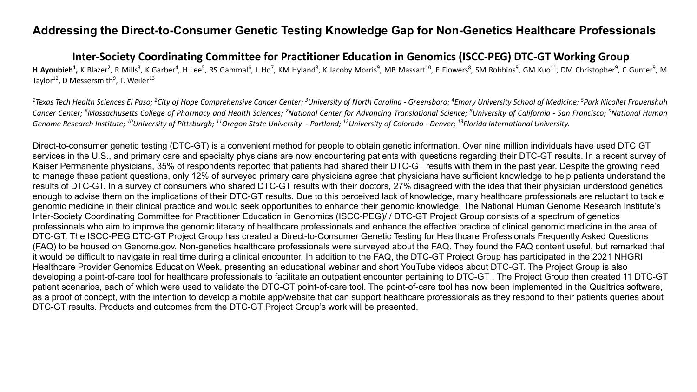### **Addressing the Direct-to-Consumer Genetic Testing Knowledge Gap for Non-Genetics Healthcare Professionals**

### **Inter-Society Coordinating Committee for Practitioner Education in Genomics (ISCC-PEG) DTC-GT Working Group**

H Ayoubieh<sup>1</sup>, K Blazer<sup>2</sup>, R Mills<sup>3</sup>, K Garber<sup>4</sup>, H Lee<sup>5</sup>, RS Gammal<sup>6</sup>, L Ho<sup>7</sup>, KM Hyland<sup>8</sup>, K Jacoby Morris<sup>9</sup>, MB Massart<sup>10</sup>, E Flowers<sup>8</sup>, SM Robbins<sup>9</sup>, GM Kuo<sup>11</sup>, DM Christopher<sup>9</sup>, C Gunter<sup>9</sup>, M Taylor<sup>12</sup>, D Messersmith<sup>9</sup>, T. Weiler<sup>13</sup>

<sup>1</sup> Texas Tech Health Sciences El Paso; <sup>2</sup>City of Hope Comprehensive Cancer Center; <sup>3</sup>University of North Carolina - Greensboro; <sup>4</sup>Emory University School of Medicine; <sup>5</sup>Park Nicollet Frauenshuh Cancer Center; <sup>6</sup>Massachusetts College of Pharmacy and Health Sciences; <sup>7</sup>National Center for Advancing Translational Science; <sup>8</sup>University of California - San Francisco; <sup>9</sup>National Human *Genome Research Institute; 10University of Pittsburgh; 11Oregon State University - Portland; 12University of Colorado - Denver; 13Florida International University.*

Direct-to-consumer genetic testing (DTC-GT) is a convenient method for people to obtain genetic information. Over nine million individuals have used DTC GT services in the U.S., and primary care and specialty physicians are now encountering patients with questions regarding their DTC-GT results. In a recent survey of Kaiser Permanente physicians, 35% of respondents reported that patients had shared their DTC-GT results with them in the past year. Despite the growing need to manage these patient questions, only 12% of surveyed primary care physicians agree that physicians have sufficient knowledge to help patients understand the results of DTC-GT. In a survey of consumers who shared DTC-GT results with their doctors, 27% disagreed with the idea that their physician understood genetics enough to advise them on the implications of their DTC-GT results. Due to this perceived lack of knowledge, many healthcare professionals are reluctant to tackle genomic medicine in their clinical practice and would seek opportunities to enhance their genomic knowledge. The National Human Genome Research Institute's Inter-Society Coordinating Committee for Practitioner Education in Genomics (ISCC-PEG)/ / DTC-GT Project Group consists of a spectrum of genetics professionals who aim to improve the genomic literacy of healthcare professionals and enhance the effective practice of clinical genomic medicine in the area of DTC-GT. The ISCC-PEG DTC-GT Project Group has created a Direct-to-Consumer Genetic Testing for Healthcare Professionals Frequently Asked Questions (FAQ) to be housed on Genome.gov. Non-genetics healthcare professionals were surveyed about the FAQ. They found the FAQ content useful, but remarked that it would be difficult to navigate in real time during a clinical encounter. In addition to the FAQ, the DTC-GT Project Group has participated in the 2021 NHGRI Healthcare Provider Genomics Education Week, presenting an educational webinar and short YouTube videos about DTC-GT. The Project Group is also developing a point-of-care tool for healthcare professionals to facilitate an outpatient encounter pertaining to DTC-GT . The Project Group then created 11 DTC-GT patient scenarios, each of which were used to validate the DTC-GT point-of-care tool. The point-of-care tool has now been implemented in the Qualtrics software, as a proof of concept, with the intention to develop a mobile app/website that can support healthcare professionals as they respond to their patients queries about DTC-GT results. Products and outcomes from the DTC-GT Project Group's work will be presented.